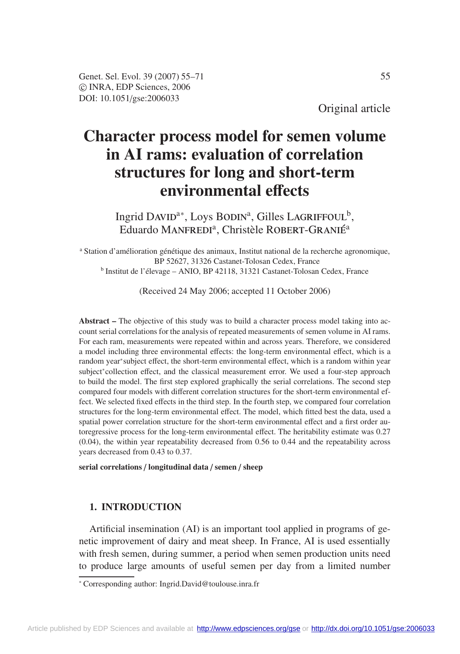Original article

# **Character process model for semen volume in AI rams: evaluation of correlation structures for long and short-term environmental e**ff**ects**

Ingrid DAVID<sup>a\*</sup>, Loys BODIN<sup>a</sup>, Gilles LAGRIFFOUL<sup>b</sup>, Eduardo MANFREDI<sup>a</sup>, Christèle ROBERT-GRANIÉ<sup>a</sup>

<sup>a</sup> Station d'amélioration génétique des animaux, Institut national de la recherche agronomique, BP 52627, 31326 Castanet-Tolosan Cedex, France <sup>b</sup> Institut de l'élevage – ANIO, BP 42118, 31321 Castanet-Tolosan Cedex, France

(Received 24 May 2006; accepted 11 October 2006)

**Abstract –** The objective of this study was to build a character process model taking into account serial correlations for the analysis of repeated measurements of semen volume in AI rams. For each ram, measurements were repeated within and across years. Therefore, we considered a model including three environmental effects: the long-term environmental effect, which is a random year∗subject effect, the short-term environmental effect, which is a random within year subject<sup>∗</sup>collection effect, and the classical measurement error. We used a four-step approach to build the model. The first step explored graphically the serial correlations. The second step compared four models with different correlation structures for the short-term environmental effect. We selected fixed effects in the third step. In the fourth step, we compared four correlation structures for the long-term environmental effect. The model, which fitted best the data, used a spatial power correlation structure for the short-term environmental effect and a first order autoregressive process for the long-term environmental effect. The heritability estimate was 0.27 (0.04), the within year repeatability decreased from 0.56 to 0.44 and the repeatability across years decreased from 0.43 to 0.37.

**serial correlations** / **longitudinal data** / **semen** / **sheep**

# **1. INTRODUCTION**

Artificial insemination (AI) is an important tool applied in programs of genetic improvement of dairy and meat sheep. In France, AI is used essentially with fresh semen, during summer, a period when semen production units need to produce large amounts of useful semen per day from a limited number

<sup>∗</sup> Corresponding author: Ingrid.David@toulouse.inra.fr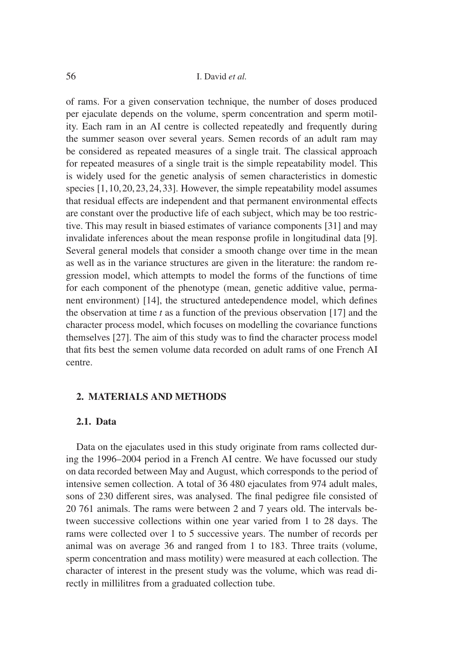of rams. For a given conservation technique, the number of doses produced per ejaculate depends on the volume, sperm concentration and sperm motility. Each ram in an AI centre is collected repeatedly and frequently during the summer season over several years. Semen records of an adult ram may be considered as repeated measures of a single trait. The classical approach for repeated measures of a single trait is the simple repeatability model. This is widely used for the genetic analysis of semen characteristics in domestic species [1,10,20,23,24,33]. However, the simple repeatability model assumes that residual effects are independent and that permanent environmental effects are constant over the productive life of each subject, which may be too restrictive. This may result in biased estimates of variance components [31] and may invalidate inferences about the mean response profile in longitudinal data [9]. Several general models that consider a smooth change over time in the mean as well as in the variance structures are given in the literature: the random regression model, which attempts to model the forms of the functions of time for each component of the phenotype (mean, genetic additive value, permanent environment) [14], the structured antedependence model, which defines the observation at time *t* as a function of the previous observation [17] and the character process model, which focuses on modelling the covariance functions themselves [27]. The aim of this study was to find the character process model that fits best the semen volume data recorded on adult rams of one French AI centre.

# **2. MATERIALS AND METHODS**

# **2.1. Data**

Data on the ejaculates used in this study originate from rams collected during the 1996–2004 period in a French AI centre. We have focussed our study on data recorded between May and August, which corresponds to the period of intensive semen collection. A total of 36 480 ejaculates from 974 adult males, sons of 230 different sires, was analysed. The final pedigree file consisted of 20 761 animals. The rams were between 2 and 7 years old. The intervals between successive collections within one year varied from 1 to 28 days. The rams were collected over 1 to 5 successive years. The number of records per animal was on average 36 and ranged from 1 to 183. Three traits (volume, sperm concentration and mass motility) were measured at each collection. The character of interest in the present study was the volume, which was read directly in millilitres from a graduated collection tube.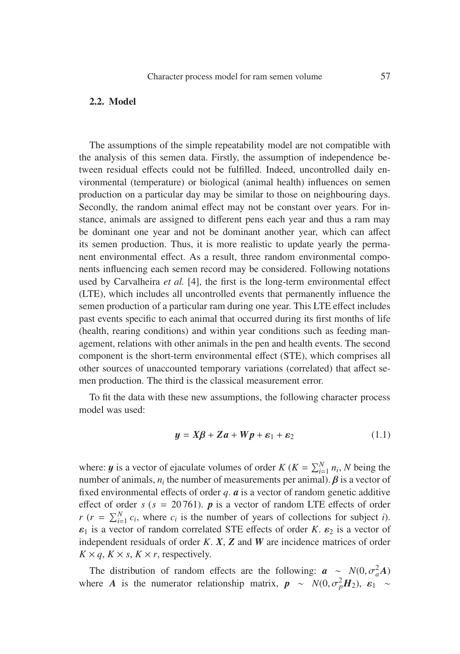# **2.2. Model**

The assumptions of the simple repeatability model are not compatible with the analysis of this semen data. Firstly, the assumption of independence between residual effects could not be fulfilled. Indeed, uncontrolled daily environmental (temperature) or biological (animal health) influences on semen production on a particular day may be similar to those on neighbouring days. Secondly, the random animal effect may not be constant over years. For instance, animals are assigned to different pens each year and thus a ram may be dominant one year and not be dominant another year, which can affect its semen production. Thus, it is more realistic to update yearly the permanent environmental effect. As a result, three random environmental components influencing each semen record may be considered. Following notations used by Carvalheira *et al.* [4], the first is the long-term environmental effect (LTE), which includes all uncontrolled events that permanently influence the semen production of a particular ram during one year. This LTE effect includes past events specific to each animal that occurred during its first months of life (health, rearing conditions) and within year conditions such as feeding management, relations with other animals in the pen and health events. The second component is the short-term environmental effect (STE), which comprises all other sources of unaccounted temporary variations (correlated) that affect semen production. The third is the classical measurement error.

To fit the data with these new assumptions, the following character process model was used:

$$
y = X\beta + Za + Wp + \varepsilon_1 + \varepsilon_2 \tag{1.1}
$$

where: *y* is a vector of ejaculate volumes of order *K* (*K* =  $\sum_{i=1}^{N} n_i$ , *N* being the number of animals,  $n_i$  the number of measurements per animal).  $\beta$  is a vector of fixed environmental effects of order *q*. *a* is a vector of random genetic additive effect of order  $s$  ( $s = 20761$ ). **p** is a vector of random LTE effects of order  $r$  ( $r = \sum_{i=1}^{N} c_i$ , where  $c_i$  is the number of years of collections for subject *i*).  $\varepsilon_1$  is a vector of random correlated STE effects of order *K*.  $\varepsilon_2$  is a vector of independent residuals of order *K*. *X*, *Z* and *W* are incidence matrices of order  $K \times q$ ,  $K \times s$ ,  $K \times r$ , respectively.

The distribution of random effects are the following:  $a \sim N(0, \sigma_a^2 A)$ <br>pere *A* is the numerator relationship matrix  $\mathbf{r}_{a} \propto N(0, \sigma_a^2 \mathbf{H}_a)$ . See all where *A* is the numerator relationship matrix,  $p \sim N(0, \sigma_p^2 H_2)$ ,  $\varepsilon_1 \sim$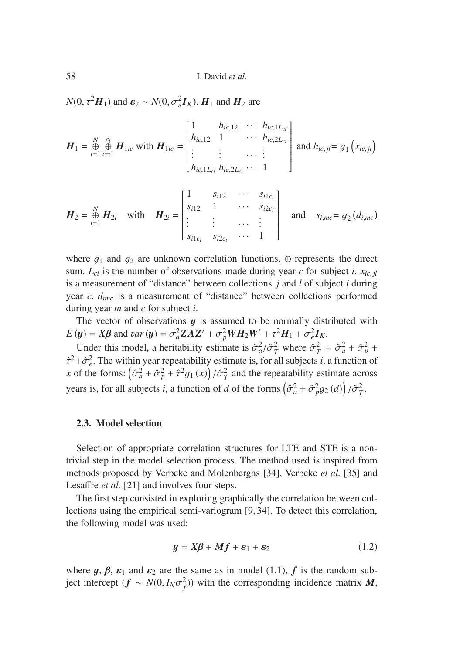58 I. David *et al.*

 $N(0, \tau^2 H_1)$  and  $\varepsilon_2 \sim N(0, \sigma_e^2 I_K)$ .  $H_1$  and  $H_2$  are

$$
\boldsymbol{H}_{1} = \bigoplus_{i=1}^{N} \bigoplus_{c=1}^{c_{i}} \boldsymbol{H}_{1ic} \text{ with } \boldsymbol{H}_{1ic} = \begin{bmatrix} 1 & h_{ic,12} & \cdots & h_{ic,1L_{ci}} \\ h_{ic,12} & 1 & \cdots & h_{ic,2L_{ci}} \\ \vdots & \vdots & \ddots & \vdots \\ h_{ic,1L_{ci}} & h_{ic,2L_{ci}} & \cdots & 1 \end{bmatrix} \text{ and } h_{ic,jl} = g_{1}(x_{ic,jl})
$$

$$
\boldsymbol{H}_2 = \bigoplus_{i=1}^N \boldsymbol{H}_{2i} \text{ with } \boldsymbol{H}_{2i} = \begin{bmatrix} 1 & s_{i12} & \cdots & s_{i1c_i} \\ s_{i12} & 1 & \cdots & s_{i2c_i} \\ \vdots & \vdots & \cdots & \vdots \\ s_{i1c_i} & s_{i2c_i} & \cdots & 1 \end{bmatrix} \text{ and } s_{i,mc} = g_2(d_{i,mc})
$$

where  $g_1$  and  $g_2$  are unknown correlation functions,  $\oplus$  represents the direct sum.  $L_{ci}$  is the number of observations made during year *c* for subject *i*.  $x_{ic,jl}$ is a measurement of "distance" between collections *j* and *l* of subject *i* during year *c*. *dimc* is a measurement of "distance" between collections performed during year *m* and *c* for subject *i*.

The vector of observations  $y$  is assumed to be normally distributed with  $E(y) = X\beta$  and *var*(y) =  $\sigma_a^2 ZAZ' + \sigma_p^2 WH_2W' + \tau^2 H_1 + \sigma_e^2 I_K$ .

Under this model, a heritability estimate is  $\hat{\sigma}_a^2/\hat{\sigma}_T^2$  where  $\hat{\sigma}_a^2 = \hat{\sigma}_a^2 + \hat{\sigma}_p^2 + \hat{\sigma}_a^2$ .  $\hat{\tau}^2 + \hat{\sigma}_e^2$ . The within year repeatability estimate is, for all subjects *i*, a function of  $\tau$  of the forms:  $(\hat{\tau}^2 + \hat{\sigma}^2 + \hat{\tau}^2 a$ .  $(\tau)$   $(\hat{\tau}^2)$  and the repeatability estimate across *x* of the forms:  $\left(\frac{\partial^2 a}{\partial t^2} + \frac{\partial^2 a}{\partial t^2} + \frac{\partial^2 a}{\partial t^2} + \frac{\partial^2 a}{\partial t^2} + \frac{\partial^2 a}{\partial t^2} + \frac{\partial^2 a}{\partial t^2} + \frac{\partial^2 a}{\partial t^2} + \frac{\partial^2 a}{\partial t^2} + \frac{\partial^2 a}{\partial t^2} + \frac{\partial^2 a}{\partial t^2} + \frac{\partial^2 a}{\partial t^2} + \frac{\partial^2 a}{\partial t^2} + \frac{\partial^2 a}{\partial t^2} + \frac{\partial^$ years is, for all subjects *i*, a function of *d* of the forms  $(\hat{\sigma}_a^2 + \hat{\sigma}_p^2 g_2(d)) / \hat{\sigma}_T^2$ .

## **2.3. Model selection**

Selection of appropriate correlation structures for LTE and STE is a nontrivial step in the model selection process. The method used is inspired from methods proposed by Verbeke and Molenberghs [34], Verbeke *et al.* [35] and Lesaffre *et al.* [21] and involves four steps.

The first step consisted in exploring graphically the correlation between collections using the empirical semi-variogram [9, 34]. To detect this correlation, the following model was used:

$$
y = X\beta + Mf + \varepsilon_1 + \varepsilon_2 \tag{1.2}
$$

where  $y, \beta, \varepsilon_1$  and  $\varepsilon_2$  are the same as in model (1.1),  $f$  is the random subject intercept  $(f \sim N(0, I_N \sigma_f^2))$  with the corresponding incidence matrix *M*,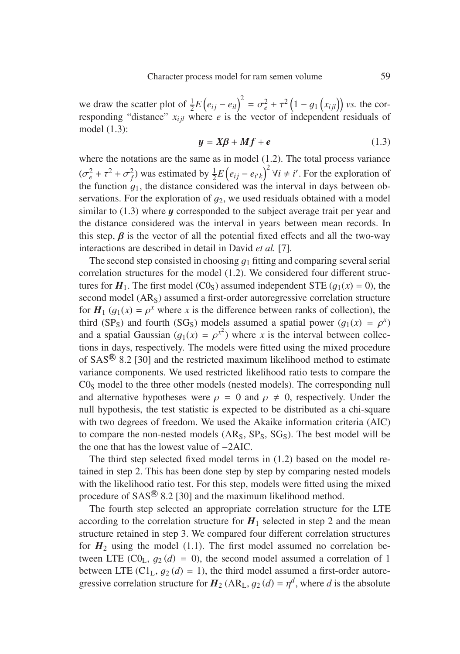we draw the scatter plot of  $\frac{1}{2}E(e_{ij} - e_{il})^2 = \sigma_e^2 + \tau^2 (1 - g_1(x_{ij}))$  vs. the cor-<br>responding "distance"  $x_{ij}$  where e is the vector of independent residuals of responding "distance"  $x_{ij}$  where *e* is the vector of independent residuals of model (1.3):

$$
y = X\beta + Mf + e \tag{1.3}
$$

where the notations are the same as in model (1.2). The total process variance  $(\sigma_e^2 + \tau^2 + \sigma_f^2)$  was estimated by  $\frac{1}{2}E(e_{ij} - e_{i'k})^2$   $\forall i \neq i'$ . For the exploration of the function  $g_1$ , the distance considered was the interval in days between observations. For the exploration of  $q_2$ , we used residuals obtained with a model similar to  $(1.3)$  where  $y$  corresponded to the subject average trait per year and the distance considered was the interval in years between mean records. In this step,  $\beta$  is the vector of all the potential fixed effects and all the two-way interactions are described in detail in David *et al.* [7].

The second step consisted in choosing  $q_1$  fitting and comparing several serial correlation structures for the model (1.2). We considered four different structures for  $H_1$ . The first model (C0<sub>S</sub>) assumed independent STE ( $g_1(x) = 0$ ), the second model  $(AR<sub>S</sub>)$  assumed a first-order autoregressive correlation structure for  $H_1$  ( $q_1(x) = \rho^x$  where x is the difference between ranks of collection), the third (SP<sub>S</sub>) and fourth (SG<sub>S</sub>) models assumed a spatial power ( $g_1(x) = \rho^x$ ) and a spatial Gaussian  $(g_1(x) = \rho^{x^2})$  where *x* is the interval between collections in days respectively. The models were fitted using the mixed procedure tions in days, respectively. The models were fitted using the mixed procedure of  $SAS^{(8)}$  8.2 [30] and the restricted maximum likelihood method to estimate variance components. We used restricted likelihood ratio tests to compare the  $CO<sub>S</sub>$  model to the three other models (nested models). The corresponding null and alternative hypotheses were  $\rho = 0$  and  $\rho \neq 0$ , respectively. Under the null hypothesis, the test statistic is expected to be distributed as a chi-square with two degrees of freedom. We used the Akaike information criteria (AIC) to compare the non-nested models  $(AR<sub>S</sub>, SP<sub>S</sub>, SG<sub>S</sub>)$ . The best model will be the one that has the lowest value of −2AIC.

The third step selected fixed model terms in (1.2) based on the model retained in step 2. This has been done step by step by comparing nested models with the likelihood ratio test. For this step, models were fitted using the mixed procedure of  $SAS^{\circledR}$  8.2 [30] and the maximum likelihood method.

The fourth step selected an appropriate correlation structure for the LTE according to the correlation structure for  $H_1$  selected in step 2 and the mean structure retained in step 3. We compared four different correlation structures for  $H_2$  using the model (1.1). The first model assumed no correlation between LTE  $(C0_L, g_2(d) = 0)$ , the second model assumed a correlation of 1 between LTE  $(Cl_L, g_2(d) = 1)$ , the third model assumed a first-order autoregressive correlation structure for  $H_2$  (AR<sub>L</sub>,  $g_2$  (*d*) =  $\eta^d$ , where *d* is the absolute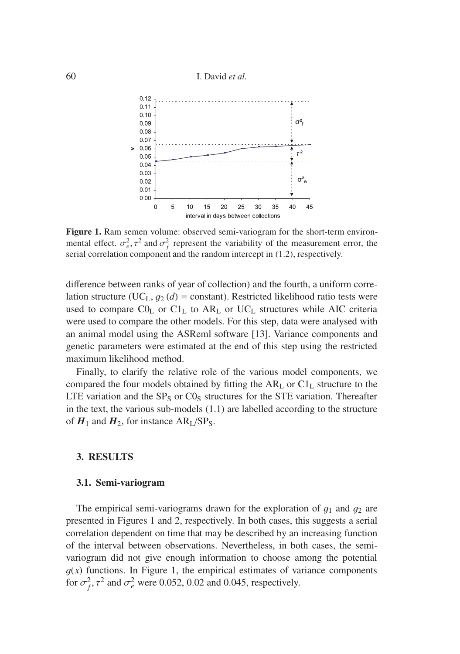#### 60 I. David *et al.*



**Figure 1.** Ram semen volume: observed semi-variogram for the short-term environmental effect.  $\sigma_e^2$ ,  $\tau^2$  and  $\sigma_f^2$  represent the variability of the measurement error, the serial correlation component and the random intercept in (1.2) respectively. serial correlation component and the random intercept in (1.2), respectively.

difference between ranks of year of collection) and the fourth, a uniform correlation structure (UC<sub>L</sub>,  $g_2$  (*d*) = constant). Restricted likelihood ratio tests were used to compare  $CO<sub>L</sub>$  or  $Cl<sub>L</sub>$  to  $AR<sub>L</sub>$  or  $UC<sub>L</sub>$  structures while AIC criteria were used to compare the other models. For this step, data were analysed with an animal model using the ASReml software [13]. Variance components and genetic parameters were estimated at the end of this step using the restricted maximum likelihood method.

Finally, to clarify the relative role of the various model components, we compared the four models obtained by fitting the  $AR<sub>L</sub>$  or  $Cl<sub>L</sub>$  structure to the LTE variation and the  $SP_S$  or  $C0_S$  structures for the STE variation. Thereafter in the text, the various sub-models (1.1) are labelled according to the structure of  $H_1$  and  $H_2$ , for instance  $AR_I/SP_S$ .

#### **3. RESULTS**

#### **3.1. Semi-variogram**

The empirical semi-variograms drawn for the exploration of  $g_1$  and  $g_2$  are presented in Figures 1 and 2, respectively. In both cases, this suggests a serial correlation dependent on time that may be described by an increasing function of the interval between observations. Nevertheless, in both cases, the semivariogram did not give enough information to choose among the potential  $g(x)$  functions. In Figure 1, the empirical estimates of variance components for  $\sigma_f^2$ ,  $\tau^2$  and  $\sigma_e^2$  were 0.052, 0.02 and 0.045, respectively.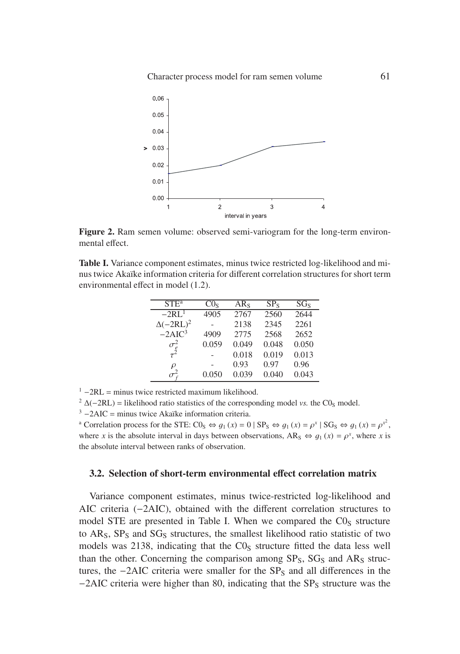Character process model for ram semen volume 61



**Figure 2.** Ram semen volume: observed semi-variogram for the long-term environmental effect.

**Table I.** Variance component estimates, minus twice restricted log-likelihood and minus twice Akaïke information criteria for different correlation structures for short term environmental effect in model (1.2).

| STE <sup>a</sup> | CO <sub>s</sub> | $AR_S$ | $SP_{S}$ | SG <sub>s</sub> |
|------------------|-----------------|--------|----------|-----------------|
| $-2RL1$          | 4905            | 2767   | 2560     | 2644            |
| $\Delta(-2RL)^2$ |                 | 2138   | 2345     | 2261            |
| $-2AIC3$         | 4909            | 2775   | 2568     | 2652            |
| $\sigma_e^2$     | 0.059           | 0.049  | 0.048    | 0.050           |
| $\tau^2$         |                 | 0.018  | 0.019    | 0.013           |
| $\rho$           |                 | 0.93   | 0.97     | 0.96            |
|                  | 0.050           | 0.039  | 0.040    | 0.043           |
|                  |                 |        |          |                 |

 $^1$  -2RL = minus twice restricted maximum likelihood.<br>  $^2$   $\Delta(-2RL)$  = likelihood ratio statistics of the corresponding model *vs*. the C0<sub>S</sub> model.<br>  $^3$  -2AIC = minus twice Akaïke information criteria.<br>
a Correlation p where *x* is the absolute interval in days between observations, AR<sub>S</sub>  $\Leftrightarrow$   $q_1(x) = \rho^x$ , where *x* is the absolute interval between ranks of observation.

## **3.2. Selection of short-term environmental e**ff**ect correlation matrix**

Variance component estimates, minus twice-restricted log-likelihood and AIC criteria (−2AIC), obtained with the different correlation structures to model STE are presented in Table I. When we compared the  $C0<sub>S</sub>$  structure to  $AR<sub>S</sub>$ ,  $SP<sub>S</sub>$  and  $SG<sub>S</sub>$  structures, the smallest likelihood ratio statistic of two models was 2138, indicating that the  $CO<sub>S</sub>$  structure fitted the data less well than the other. Concerning the comparison among  $SP_S$ ,  $SG_S$  and  $AR_S$  structures, the  $-2AIC$  criteria were smaller for the  $SP<sub>S</sub>$  and all differences in the  $-2AIC$  criteria were higher than 80, indicating that the SP<sub>S</sub> structure was the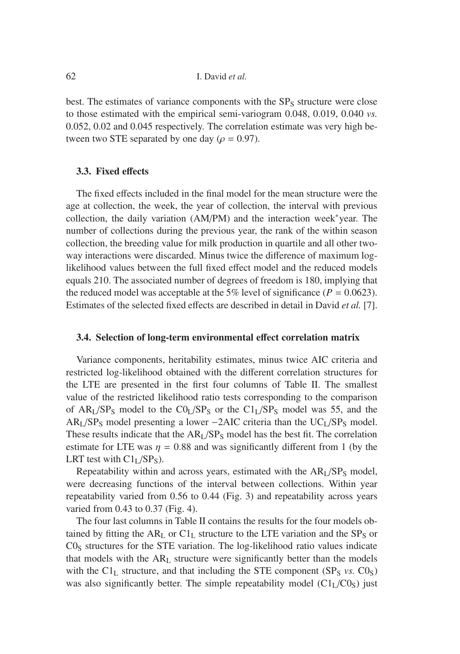best. The estimates of variance components with the  $SP<sub>S</sub>$  structure were close to those estimated with the empirical semi-variogram 0.048, 0.019, 0.040 *vs.* 0.052, 0.02 and 0.045 respectively. The correlation estimate was very high between two STE separated by one day ( $\rho = 0.97$ ).

# **3.3. Fixed e**ff**ects**

The fixed effects included in the final model for the mean structure were the age at collection, the week, the year of collection, the interval with previous collection, the daily variation (AM/PM) and the interaction week∗year. The number of collections during the previous year, the rank of the within season collection, the breeding value for milk production in quartile and all other twoway interactions were discarded. Minus twice the difference of maximum loglikelihood values between the full fixed effect model and the reduced models equals 210. The associated number of degrees of freedom is 180, implying that the reduced model was acceptable at the 5% level of significance ( $P = 0.0623$ ). Estimates of the selected fixed effects are described in detail in David *et al.* [7].

# **3.4. Selection of long-term environmental e**ff**ect correlation matrix**

Variance components, heritability estimates, minus twice AIC criteria and restricted log-likelihood obtained with the different correlation structures for the LTE are presented in the first four columns of Table II. The smallest value of the restricted likelihood ratio tests corresponding to the comparison of  $AR<sub>L</sub>/SP<sub>S</sub>$  model to the  $CO<sub>L</sub>/SP<sub>S</sub>$  or the  $Cl<sub>L</sub>/SP<sub>S</sub>$  model was 55, and the  $AR<sub>L</sub>/SP<sub>S</sub>$  model presenting a lower −2AIC criteria than the UC<sub>L</sub>/SP<sub>S</sub> model. These results indicate that the  $AR<sub>L</sub>/SP<sub>S</sub>$  model has the best fit. The correlation estimate for LTE was  $\eta = 0.88$  and was significantly different from 1 (by the LRT test with  $Cl<sub>L</sub>/SP<sub>S</sub>$ ).

Repeatability within and across years, estimated with the  $AR<sub>I</sub>/SP<sub>S</sub>$  model, were decreasing functions of the interval between collections. Within year repeatability varied from 0.56 to 0.44 (Fig. 3) and repeatability across years varied from 0.43 to 0.37 (Fig. 4).

The four last columns in Table II contains the results for the four models obtained by fitting the  $AR<sub>L</sub>$  or  $Cl<sub>L</sub>$  structure to the LTE variation and the SP<sub>S</sub> or  $CO<sub>S</sub>$  structures for the STE variation. The log-likelihood ratio values indicate that models with the  $AR<sub>L</sub>$  structure were significantly better than the models with the  $Cl_L$  structure, and that including the STE component (SP<sub>S</sub> *vs.*  $Cl_S$ ) was also significantly better. The simple repeatability model  $(Cl<sub>L</sub>/C0<sub>S</sub>)$  just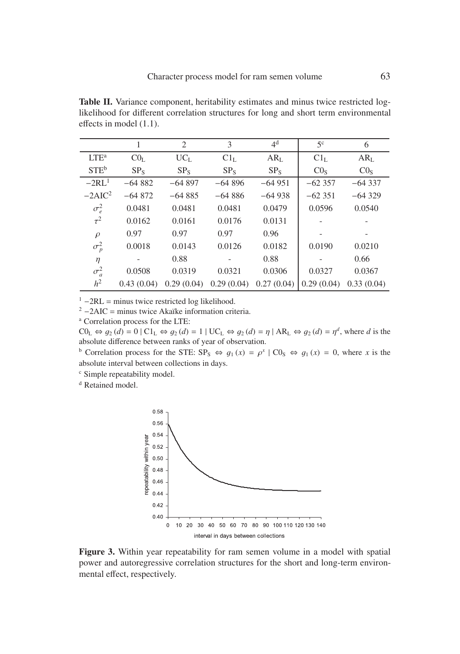**Table II.** Variance component, heritability estimates and minus twice restricted loglikelihood for different correlation structures for long and short term environmental effects in model (1.1).

|                  | 1               | 2               | 3               | 4 <sup>d</sup>  | 5 <sup>c</sup>  | 6               |
|------------------|-----------------|-----------------|-----------------|-----------------|-----------------|-----------------|
| $LTE^a$          | CO <sub>L</sub> | $UC_L$          | Cl <sub>L</sub> | AR <sub>L</sub> | Cl <sub>L</sub> | AR <sub>L</sub> |
| STE <sup>b</sup> | SP <sub>s</sub> | SP <sub>S</sub> | SP <sub>s</sub> | $SP_S$          | CO <sub>s</sub> | CO <sub>S</sub> |
| $-2RL1$          | $-64882$        | $-64897$        | $-64896$        | $-64951$        | $-62357$        | $-64337$        |
| $-2AIC^2$        | $-64872$        | $-64885$        | $-64886$        | $-64938$        | $-62351$        | $-64329$        |
| $\sigma_e^2$     | 0.0481          | 0.0481          | 0.0481          | 0.0479          | 0.0596          | 0.0540          |
| $\tau^2$         | 0.0162          | 0.0161          | 0.0176          | 0.0131          |                 |                 |
| $\rho$           | 0.97            | 0.97            | 0.97            | 0.96            |                 |                 |
| $\sigma_p^2$     | 0.0018          | 0.0143          | 0.0126          | 0.0182          | 0.0190          | 0.0210          |
| $\eta$           |                 | 0.88            |                 | 0.88            |                 | 0.66            |
| $\sigma_a^2$     | 0.0508          | 0.0319          | 0.0321          | 0.0306          | 0.0327          | 0.0367          |
| h <sup>2</sup>   | 0.43(0.04)      | 0.29(0.04)      | 0.29(0.04)      | 0.27(0.04)      | 0.29(0.04)      | 0.33(0.04)      |

<sup>1</sup> −2RL = minus twice restricted log likelihood.<br><sup>2</sup> −2AIC = minus twice Akaïke information criteria.<br><sup>a</sup> Correlation process for the LTE:

 $CO_{L} \Leftrightarrow q_{2}(d) = 0 | Cl_{L} \Leftrightarrow q_{2}(d) = 1 | UC_{L} \Leftrightarrow q_{2}(d) = \eta | AR_{L} \Leftrightarrow q_{2}(d) = \eta^{d}$ , where *d* is the absolute difference between ranks of year of observation.

<sup>b</sup> Correlation process for the STE:  $SP_S \Leftrightarrow g_1(x) = \rho^x \mid CO_S \Leftrightarrow g_1(x) = 0$ , where *x* is the absolute interval between collections in days.

<sup>c</sup> Simple repeatability model.

<sup>d</sup> Retained model.



**Figure 3.** Within year repeatability for ram semen volume in a model with spatial power and autoregressive correlation structures for the short and long-term environmental effect, respectively.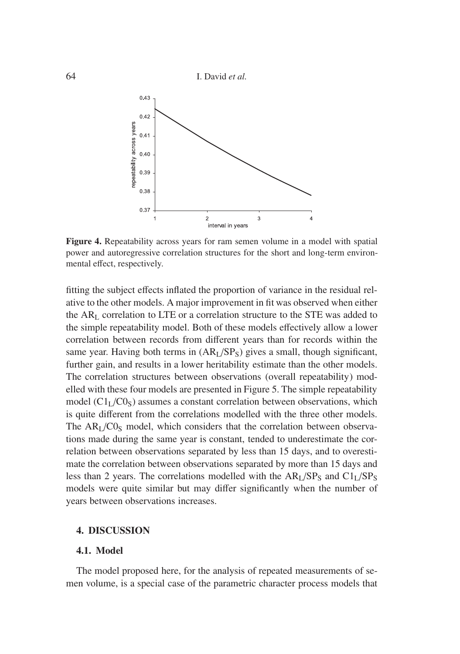64 I. David *et al.*



**Figure 4.** Repeatability across years for ram semen volume in a model with spatial power and autoregressive correlation structures for the short and long-term environmental effect, respectively.

fitting the subject effects inflated the proportion of variance in the residual relative to the other models. A major improvement in fit was observed when either the ARL correlation to LTE or a correlation structure to the STE was added to the simple repeatability model. Both of these models effectively allow a lower correlation between records from different years than for records within the same year. Having both terms in  $(AR<sub>I</sub>/SP<sub>S</sub>)$  gives a small, though significant, further gain, and results in a lower heritability estimate than the other models. The correlation structures between observations (overall repeatability) modelled with these four models are presented in Figure 5. The simple repeatability model  $(Cl<sub>L</sub>/C0<sub>S</sub>)$  assumes a constant correlation between observations, which is quite different from the correlations modelled with the three other models. The  $AR<sub>I</sub>/C0<sub>S</sub>$  model, which considers that the correlation between observations made during the same year is constant, tended to underestimate the correlation between observations separated by less than 15 days, and to overestimate the correlation between observations separated by more than 15 days and less than 2 years. The correlations modelled with the  $AR<sub>L</sub>/SP<sub>S</sub>$  and  $Cl<sub>L</sub>/SP<sub>S</sub>$ models were quite similar but may differ significantly when the number of years between observations increases.

# **4. DISCUSSION**

# **4.1. Model**

The model proposed here, for the analysis of repeated measurements of semen volume, is a special case of the parametric character process models that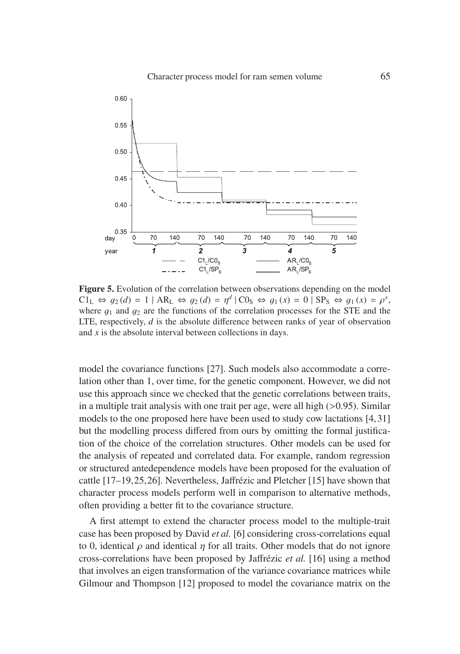

**Figure 5.** Evolution of the correlation between observations depending on the model  $Cl_L \Leftrightarrow q_2(d) = 1 | AR_L \Leftrightarrow q_2(d) = \eta^d | CO_S \Leftrightarrow q_1(x) = 0 | SP_S \Leftrightarrow q_1(x) = \rho^x$ , where  $q_1$  and  $q_2$  are the functions of the correlation processes for the STE and the LTE, respectively, *d* is the absolute difference between ranks of year of observation and *x* is the absolute interval between collections in days.

model the covariance functions [27]. Such models also accommodate a correlation other than 1, over time, for the genetic component. However, we did not use this approach since we checked that the genetic correlations between traits, in a multiple trait analysis with one trait per age, were all high  $(>0.95)$ . Similar models to the one proposed here have been used to study cow lactations [4,31] but the modelling process differed from ours by omitting the formal justification of the choice of the correlation structures. Other models can be used for the analysis of repeated and correlated data. For example, random regression or structured antedependence models have been proposed for the evaluation of cattle [17–19,25,26]. Nevertheless, Jaffrézic and Pletcher [15] have shown that character process models perform well in comparison to alternative methods, often providing a better fit to the covariance structure.

A first attempt to extend the character process model to the multiple-trait case has been proposed by David *et al.* [6] considering cross-correlations equal to 0, identical  $\rho$  and identical  $\eta$  for all traits. Other models that do not ignore cross-correlations have been proposed by Jaffrézic *et al.* [16] using a method that involves an eigen transformation of the variance covariance matrices while Gilmour and Thompson [12] proposed to model the covariance matrix on the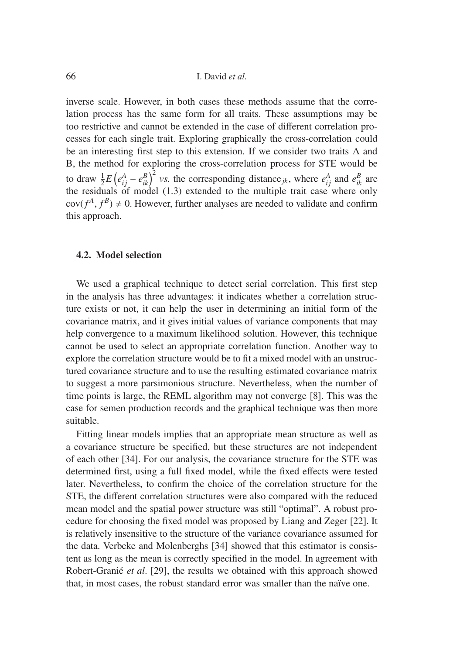inverse scale. However, in both cases these methods assume that the correlation process has the same form for all traits. These assumptions may be too restrictive and cannot be extended in the case of different correlation processes for each single trait. Exploring graphically the cross-correlation could be an interesting first step to this extension. If we consider two traits A and B, the method for exploring the cross-correlation process for STE would be to draw  $\frac{1}{2}E\left(e_{ij}^{A}-e_{ik}^{B}\right)^{2}$  *vs.* the corresponding distance<sub>jk</sub>, where  $e_{ij}^{A}$  and  $e_{ik}^{B}$  are the residuals of model (1.3) extended to the multiple trait case where only  $cov(f^A, f^B) \neq 0$ . However, further analyses are needed to validate and confirm this approach.

# **4.2. Model selection**

We used a graphical technique to detect serial correlation. This first step in the analysis has three advantages: it indicates whether a correlation structure exists or not, it can help the user in determining an initial form of the covariance matrix, and it gives initial values of variance components that may help convergence to a maximum likelihood solution. However, this technique cannot be used to select an appropriate correlation function. Another way to explore the correlation structure would be to fit a mixed model with an unstructured covariance structure and to use the resulting estimated covariance matrix to suggest a more parsimonious structure. Nevertheless, when the number of time points is large, the REML algorithm may not converge [8]. This was the case for semen production records and the graphical technique was then more suitable.

Fitting linear models implies that an appropriate mean structure as well as a covariance structure be specified, but these structures are not independent of each other [34]. For our analysis, the covariance structure for the STE was determined first, using a full fixed model, while the fixed effects were tested later. Nevertheless, to confirm the choice of the correlation structure for the STE, the different correlation structures were also compared with the reduced mean model and the spatial power structure was still "optimal". A robust procedure for choosing the fixed model was proposed by Liang and Zeger [22]. It is relatively insensitive to the structure of the variance covariance assumed for the data. Verbeke and Molenberghs [34] showed that this estimator is consistent as long as the mean is correctly specified in the model. In agreement with Robert-Granié *et al*. [29], the results we obtained with this approach showed that, in most cases, the robust standard error was smaller than the naïve one.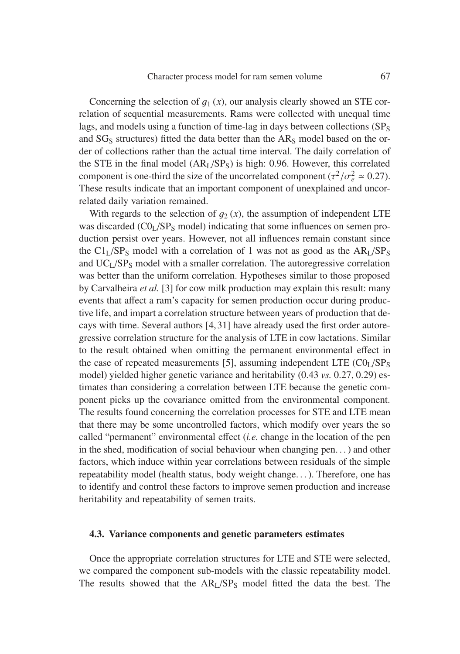Concerning the selection of  $q_1(x)$ , our analysis clearly showed an STE correlation of sequential measurements. Rams were collected with unequal time lags, and models using a function of time-lag in days between collections  $(SP<sub>S</sub>)$ and  $SG<sub>S</sub>$  structures) fitted the data better than the  $AR<sub>S</sub>$  model based on the order of collections rather than the actual time interval. The daily correlation of the STE in the final model  $(AR<sub>I</sub>/SP<sub>S</sub>)$  is high: 0.96. However, this correlated component is one-third the size of the uncorrelated component ( $\tau^2/\sigma_e^2 \approx 0.27$ ).<br>These results indicate that an important component of unexplained and uncor-These results indicate that an important component of unexplained and uncorrelated daily variation remained.

With regards to the selection of  $g_2(x)$ , the assumption of independent LTE was discarded  $(CO<sub>L</sub>/SP<sub>S</sub>$  model) indicating that some influences on semen production persist over years. However, not all influences remain constant since the  $Cl<sub>L</sub>/SP<sub>S</sub>$  model with a correlation of 1 was not as good as the  $AR<sub>L</sub>/SP<sub>S</sub>$ and UC<sub>L</sub>/SP<sub>S</sub> model with a smaller correlation. The autoregressive correlation was better than the uniform correlation. Hypotheses similar to those proposed by Carvalheira *et al.* [3] for cow milk production may explain this result: many events that affect a ram's capacity for semen production occur during productive life, and impart a correlation structure between years of production that decays with time. Several authors [4,31] have already used the first order autoregressive correlation structure for the analysis of LTE in cow lactations. Similar to the result obtained when omitting the permanent environmental effect in the case of repeated measurements [5], assuming independent LTE  $(CO<sub>I</sub>/SP<sub>S</sub>)$ model) yielded higher genetic variance and heritability (0.43 *vs.* 0.27, 0.29) estimates than considering a correlation between LTE because the genetic component picks up the covariance omitted from the environmental component. The results found concerning the correlation processes for STE and LTE mean that there may be some uncontrolled factors, which modify over years the so called "permanent" environmental effect (*i.e.* change in the location of the pen in the shed, modification of social behaviour when changing pen. . . ) and other factors, which induce within year correlations between residuals of the simple repeatability model (health status, body weight change. . . ). Therefore, one has to identify and control these factors to improve semen production and increase heritability and repeatability of semen traits.

#### **4.3. Variance components and genetic parameters estimates**

Once the appropriate correlation structures for LTE and STE were selected, we compared the component sub-models with the classic repeatability model. The results showed that the  $AR<sub>L</sub>/SP<sub>S</sub>$  model fitted the data the best. The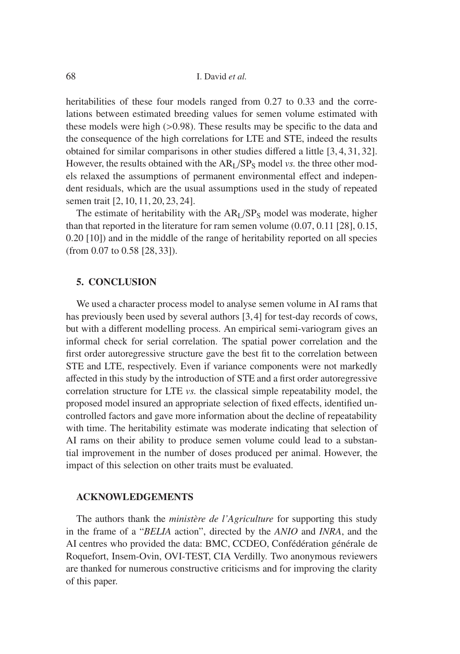heritabilities of these four models ranged from 0.27 to 0.33 and the correlations between estimated breeding values for semen volume estimated with these models were high (>0.98). These results may be specific to the data and the consequence of the high correlations for LTE and STE, indeed the results obtained for similar comparisons in other studies differed a little [3, 4, 31, 32]. However, the results obtained with the  $AR<sub>I</sub>/SP<sub>S</sub>$  model *vs.* the three other models relaxed the assumptions of permanent environmental effect and independent residuals, which are the usual assumptions used in the study of repeated semen trait [2, 10, 11, 20, 23, 24].

The estimate of heritability with the  $AR<sub>I</sub>/SP<sub>S</sub>$  model was moderate, higher than that reported in the literature for ram semen volume (0.07, 0.11 [28], 0.15, 0.20 [10]) and in the middle of the range of heritability reported on all species (from 0.07 to 0.58 [28, 33]).

# **5. CONCLUSION**

We used a character process model to analyse semen volume in AI rams that has previously been used by several authors [3,4] for test-day records of cows, but with a different modelling process. An empirical semi-variogram gives an informal check for serial correlation. The spatial power correlation and the first order autoregressive structure gave the best fit to the correlation between STE and LTE, respectively. Even if variance components were not markedly affected in this study by the introduction of STE and a first order autoregressive correlation structure for LTE *vs.* the classical simple repeatability model, the proposed model insured an appropriate selection of fixed effects, identified uncontrolled factors and gave more information about the decline of repeatability with time. The heritability estimate was moderate indicating that selection of AI rams on their ability to produce semen volume could lead to a substantial improvement in the number of doses produced per animal. However, the impact of this selection on other traits must be evaluated.

# **ACKNOWLEDGEMENTS**

The authors thank the *ministère de l'Agriculture* for supporting this study in the frame of a "*BELIA* action", directed by the *ANIO* and *INRA*, and the AI centres who provided the data: BMC, CCDEO, Confédération générale de Roquefort, Insem-Ovin, OVI-TEST, CIA Verdilly. Two anonymous reviewers are thanked for numerous constructive criticisms and for improving the clarity of this paper.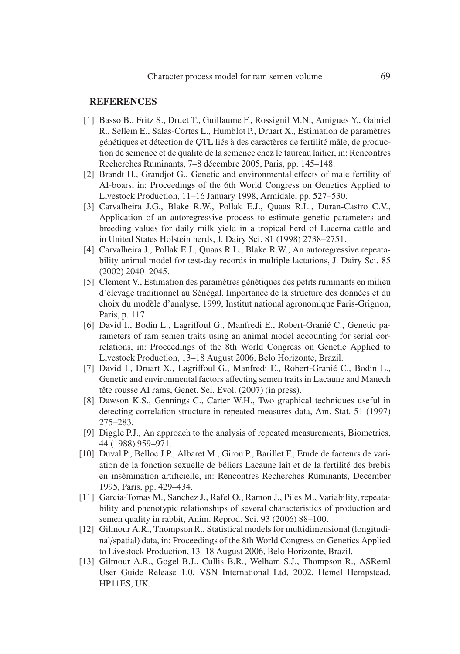# **REFERENCES**

- [1] Basso B., Fritz S., Druet T., Guillaume F., Rossignil M.N., Amigues Y., Gabriel R., Sellem E., Salas-Cortes L., Humblot P., Druart X., Estimation de paramètres génétiques et détection de QTL liés à des caractères de fertilité mâle, de production de semence et de qualité de la semence chez le taureau laitier, in: Rencontres Recherches Ruminants, 7–8 décembre 2005, Paris, pp. 145–148.
- [2] Brandt H., Grandjot G., Genetic and environmental effects of male fertility of AI-boars, in: Proceedings of the 6th World Congress on Genetics Applied to Livestock Production, 11–16 January 1998, Armidale, pp. 527–530.
- [3] Carvalheira J.G., Blake R.W., Pollak E.J., Quaas R.L., Duran-Castro C.V., Application of an autoregressive process to estimate genetic parameters and breeding values for daily milk yield in a tropical herd of Lucerna cattle and in United States Holstein herds, J. Dairy Sci. 81 (1998) 2738–2751.
- [4] Carvalheira J., Pollak E.J., Quaas R.L., Blake R.W., An autoregressive repeatability animal model for test-day records in multiple lactations, J. Dairy Sci. 85 (2002) 2040–2045.
- [5] Clement V., Estimation des paramètres génétiques des petits ruminants en milieu d'élevage traditionnel au Sénégal. Importance de la structure des données et du choix du modèle d'analyse, 1999, Institut national agronomique Paris-Grignon, Paris, p. 117.
- [6] David I., Bodin L., Lagriffoul G., Manfredi E., Robert-Granié C., Genetic parameters of ram semen traits using an animal model accounting for serial correlations, in: Proceedings of the 8th World Congress on Genetic Applied to Livestock Production, 13–18 August 2006, Belo Horizonte, Brazil.
- [7] David I., Druart X., Lagriffoul G., Manfredi E., Robert-Granié C., Bodin L., Genetic and environmental factors affecting semen traits in Lacaune and Manech tête rousse AI rams, Genet. Sel. Evol. (2007) (in press).
- [8] Dawson K.S., Gennings C., Carter W.H., Two graphical techniques useful in detecting correlation structure in repeated measures data, Am. Stat. 51 (1997) 275–283.
- [9] Diggle P.J., An approach to the analysis of repeated measurements, Biometrics, 44 (1988) 959–971.
- [10] Duval P., Belloc J.P., Albaret M., Girou P., Barillet F., Etude de facteurs de variation de la fonction sexuelle de béliers Lacaune lait et de la fertilité des brebis en insémination artificielle, in: Rencontres Recherches Ruminants, December 1995, Paris, pp. 429–434.
- [11] Garcia-Tomas M., Sanchez J., Rafel O., Ramon J., Piles M., Variability, repeatability and phenotypic relationships of several characteristics of production and semen quality in rabbit, Anim. Reprod. Sci. 93 (2006) 88–100.
- [12] Gilmour A.R., Thompson R., Statistical models for multidimensional (longitudinal/spatial) data, in: Proceedings of the 8th World Congress on Genetics Applied to Livestock Production, 13–18 August 2006, Belo Horizonte, Brazil.
- [13] Gilmour A.R., Gogel B.J., Cullis B.R., Welham S.J., Thompson R., ASReml User Guide Release 1.0, VSN International Ltd, 2002, Hemel Hempstead, HP11ES, UK.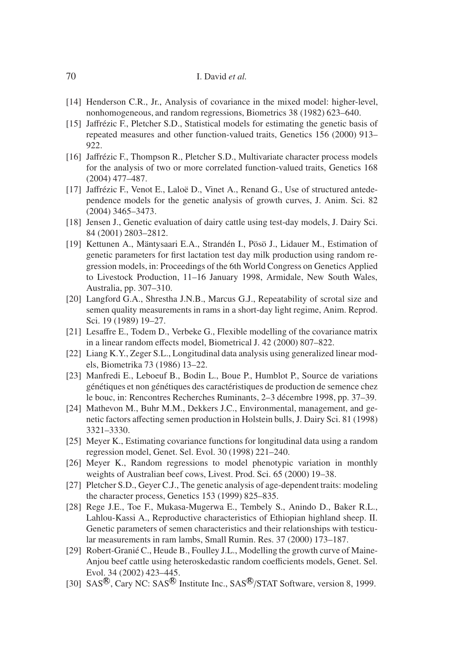# 70 I. David *et al.*

- [14] Henderson C.R., Jr., Analysis of covariance in the mixed model: higher-level, nonhomogeneous, and random regressions, Biometrics 38 (1982) 623–640.
- [15] Jaffrézic F., Pletcher S.D., Statistical models for estimating the genetic basis of repeated measures and other function-valued traits, Genetics 156 (2000) 913– 922.
- [16] Jaffrézic F., Thompson R., Pletcher S.D., Multivariate character process models for the analysis of two or more correlated function-valued traits, Genetics 168 (2004) 477–487.
- [17] Jaffrézic F., Venot E., Laloë D., Vinet A., Renand G., Use of structured antedependence models for the genetic analysis of growth curves, J. Anim. Sci. 82 (2004) 3465–3473.
- [18] Jensen J., Genetic evaluation of dairy cattle using test-day models, J. Dairy Sci. 84 (2001) 2803–2812.
- [19] Kettunen A., Mäntysaari E.A., Strandén I., Pösö J., Lidauer M., Estimation of genetic parameters for first lactation test day milk production using random regression models, in: Proceedings of the 6th World Congress on Genetics Applied to Livestock Production, 11–16 January 1998, Armidale, New South Wales, Australia, pp. 307–310.
- [20] Langford G.A., Shrestha J.N.B., Marcus G.J., Repeatability of scrotal size and semen quality measurements in rams in a short-day light regime, Anim. Reprod. Sci. 19 (1989) 19–27.
- [21] Lesaffre E., Todem D., Verbeke G., Flexible modelling of the covariance matrix in a linear random effects model, Biometrical J. 42 (2000) 807–822.
- [22] Liang K.Y., Zeger S.L., Longitudinal data analysis using generalized linear models, Biometrika 73 (1986) 13–22.
- [23] Manfredi E., Leboeuf B., Bodin L., Boue P., Humblot P., Source de variations génétiques et non génétiques des caractéristiques de production de semence chez le bouc, in: Rencontres Recherches Ruminants, 2–3 décembre 1998, pp. 37–39.
- [24] Mathevon M., Buhr M.M., Dekkers J.C., Environmental, management, and genetic factors affecting semen production in Holstein bulls, J. Dairy Sci. 81 (1998) 3321–3330.
- [25] Meyer K., Estimating covariance functions for longitudinal data using a random regression model, Genet. Sel. Evol. 30 (1998) 221–240.
- [26] Meyer K., Random regressions to model phenotypic variation in monthly weights of Australian beef cows, Livest. Prod. Sci. 65 (2000) 19–38.
- [27] Pletcher S.D., Geyer C.J., The genetic analysis of age-dependent traits: modeling the character process, Genetics 153 (1999) 825–835.
- [28] Rege J.E., Toe F., Mukasa-Mugerwa E., Tembely S., Anindo D., Baker R.L., Lahlou-Kassi A., Reproductive characteristics of Ethiopian highland sheep. II. Genetic parameters of semen characteristics and their relationships with testicular measurements in ram lambs, Small Rumin. Res. 37 (2000) 173–187.
- [29] Robert-Granié C., Heude B., Foulley J.L., Modelling the growth curve of Maine-Anjou beef cattle using heteroskedastic random coefficients models, Genet. Sel. Evol. 34 (2002) 423–445.
- [30] SAS<sup>®</sup>, Cary NC: SAS<sup>®</sup> Institute Inc., SAS<sup>®</sup>/STAT Software, version 8, 1999.